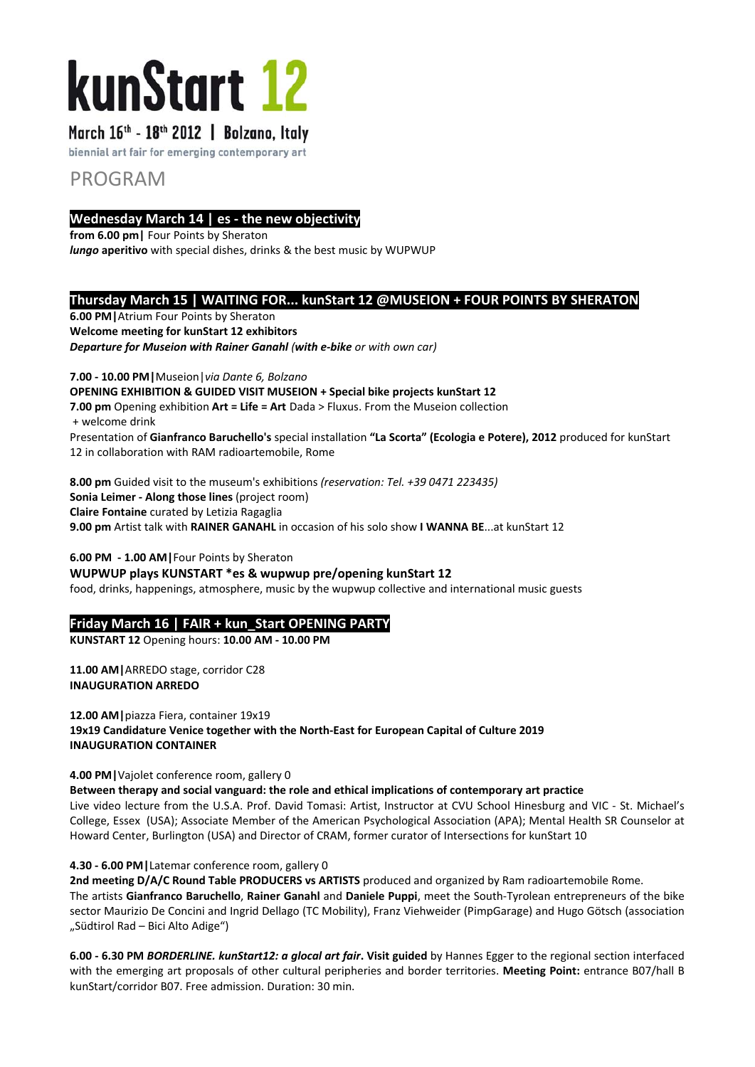# kunStart 12

# March 16th - 18th 2012 | Bolzano, Italy

biennial art fair for emerging contemporary art

# PROGRAM

# **Wednesday March 14 | es ‐ the new objectivity**

**from 6.00 pm|** Four Points by Sheraton *lungo* **aperitivo** with special dishes, drinks & the best music by WUPWUP

# **Thursday March 15 | WAITING FOR... kunStart 12 @MUSEION + FOUR POINTS BY SHERATON**

**6.00 PM|**Atrium Four Points by Sheraton **Welcome meeting for kunStart 12 exhibitors** *Departure for Museion with Rainer Ganahl (with e‐bike or with own car)*

**7.00 ‐ 10.00 PM|**Museion|*via Dante 6, Bolzano* **OPENING EXHIBITION & GUIDED VISIT MUSEION + Special bike projects kunStart 12 7.00 pm** Opening exhibition **Art = Life = Art** Dada > Fluxus. From the Museion collection + welcome drink Presentation of **Gianfranco Baruchello's** special installation **"La Scorta" (Ecologia e Potere), 2012** produced for kunStart 12 in collaboration with RAM radioartemobile, Rome

**8.00 pm** Guided visit to the museum's exhibitions *(reservation: Tel. +39 0471 223435)* **Sonia Leimer ‐ Along those lines** (project room) **Claire Fontaine** curated by Letizia Ragaglia

**9.00 pm** Artist talk with **RAINER GANAHL** in occasion of his solo show **I WANNA BE**...at kunStart 12

**6.00 PM ‐ 1.00 AM|**Four Points by Sheraton

**WUPWUP plays KUNSTART \*es & wupwup pre/opening kunStart 12** food, drinks, happenings, atmosphere, music by the wupwup collective and international music guests

# **Friday March 16 | FAIR + kun\_Start OPENING PARTY**

**KUNSTART 12** Opening hours: **10.00 AM ‐ 10.00 PM**

**11.00 AM|**ARREDO stage, corridor C28 **INAUGURATION ARREDO**

**12.00 AM|**piazza Fiera, container 19x19 **19x19 Candidature Venice together with the North‐East for European Capital of Culture 2019 INAUGURATION CONTAINER**

**4.00 PM|**Vajolet conference room, gallery 0

**Between therapy and social vanguard: the role and ethical implications of contemporary art practice** 

Live video lecture from the U.S.A. Prof. David Tomasi: Artist, Instructor at CVU School Hinesburg and VIC ‐ St. Michael's College, Essex (USA); Associate Member of the American Psychological Association (APA); Mental Health SR Counselor at Howard Center, Burlington (USA) and Director of CRAM, former curator of Intersections for kunStart 10

#### **4.30 ‐ 6.00 PM|**Latemar conference room, gallery 0

**2nd meeting D/A/C Round Table PRODUCERS vs ARTISTS** produced and organized by Ram radioartemobile Rome. The artists **Gianfranco Baruchello**, **Rainer Ganahl** and **Daniele Puppi**, meet the South‐Tyrolean entrepreneurs of the bike sector Maurizio De Concini and Ingrid Dellago (TC Mobility), Franz Viehweider (PimpGarage) and Hugo Götsch (association "Südtirol Rad - Bici Alto Adige")

**6.00 ‐ 6.30 PM** *BORDERLINE. kunStart12: a glocal art fair***. Visit guided** by Hannes Egger to the regional section interfaced with the emerging art proposals of other cultural peripheries and border territories. **Meeting Point:** entrance B07/hall B kunStart/corridor B07. Free admission. Duration: 30 min.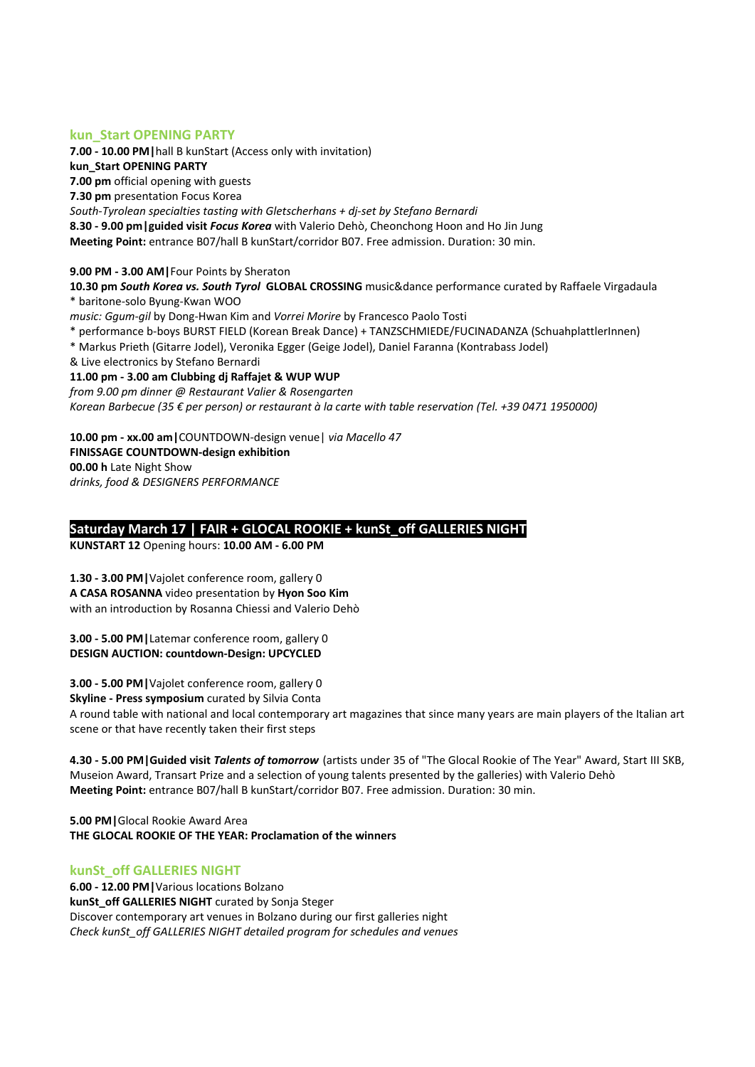# **kun\_Start OPENING PARTY**

**7.00 ‐ 10.00 PM|**hall B kunStart (Access only with invitation)

**kun\_Start OPENING PARTY**

**7.00 pm** official opening with guests

**7.30 pm** presentation Focus Korea

*South‐Tyrolean specialties tasting with Gletscherhans + dj‐set by Stefano Bernardi*

**8.30 ‐ 9.00 pm|guided visit** *Focus Korea* with Valerio Dehò, Cheonchong Hoon and Ho Jin Jung **Meeting Point:** entrance B07/hall B kunStart/corridor B07. Free admission. Duration: 30 min.

**9.00 PM ‐ 3.00 AM|**Four Points by Sheraton

**10.30 pm** *South Korea vs. South Tyrol* **GLOBAL CROSSING** music&dance performance curated by Raffaele Virgadaula \* baritone‐solo Byung‐Kwan WOO

*music: Ggum‐gil* by Dong‐Hwan Kim and *Vorrei Morire* by Francesco Paolo Tosti

\* performance b‐boys BURST FIELD (Korean Break Dance) + TANZSCHMIEDE/FUCINADANZA (SchuahplattlerInnen)

\* Markus Prieth (Gitarre Jodel), Veronika Egger (Geige Jodel), Daniel Faranna (Kontrabass Jodel)

& Live electronics by Stefano Bernardi

#### **11.00 pm ‐ 3.00 am Clubbing dj Raffajet & WUP WUP**

*from 9.00 pm dinner @ Restaurant Valier & Rosengarten* 

Korean Barbecue (35 € per person) or restaurant à la carte with table reservation (Tel. +39 0471 1950000)

**10.00 pm ‐ xx.00 am|**COUNTDOWN‐design venue| *via Macello 47* **FINISSAGE COUNTDOWN‐design exhibition 00.00 h** Late Night Show

*drinks, food & DESIGNERS PERFORMANCE* 

# **Saturday March 17 | FAIR + GLOCAL ROOKIE + kunSt\_off GALLERIES NIGHT**

**KUNSTART 12** Opening hours: **10.00 AM ‐ 6.00 PM**

**1.30 ‐ 3.00 PM|**Vajolet conference room, gallery 0 **A CASA ROSANNA** video presentation by **Hyon Soo Kim** with an introduction by Rosanna Chiessi and Valerio Dehò

**3.00 ‐ 5.00 PM|**Latemar conference room, gallery 0 **DESIGN AUCTION: countdown‐Design: UPCYCLED**

**3.00 ‐ 5.00 PM|**Vajolet conference room, gallery 0

**Skyline ‐ Press symposium** curated by Silvia Conta

A round table with national and local contemporary art magazines that since many years are main players of the Italian art scene or that have recently taken their first steps

**4.30 ‐ 5.00 PM|Guided visit** *Talents of tomorrow* (artists under 35 of "The Glocal Rookie of The Year" Award, Start III SKB, Museion Award, Transart Prize and a selection of young talents presented by the galleries) with Valerio Dehò **Meeting Point:** entrance B07/hall B kunStart/corridor B07. Free admission. Duration: 30 min.

**5.00 PM|**Glocal Rookie Award Area **THE GLOCAL ROOKIE OF THE YEAR: Proclamation of the winners** 

#### **kunSt\_off GALLERIES NIGHT**

**6.00 ‐ 12.00 PM|**Various locations Bolzano **kunSt\_off GALLERIES NIGHT** curated by Sonja Steger Discover contemporary art venues in Bolzano during our first galleries night *Check kunSt\_off GALLERIES NIGHT detailed program for schedules and venues*